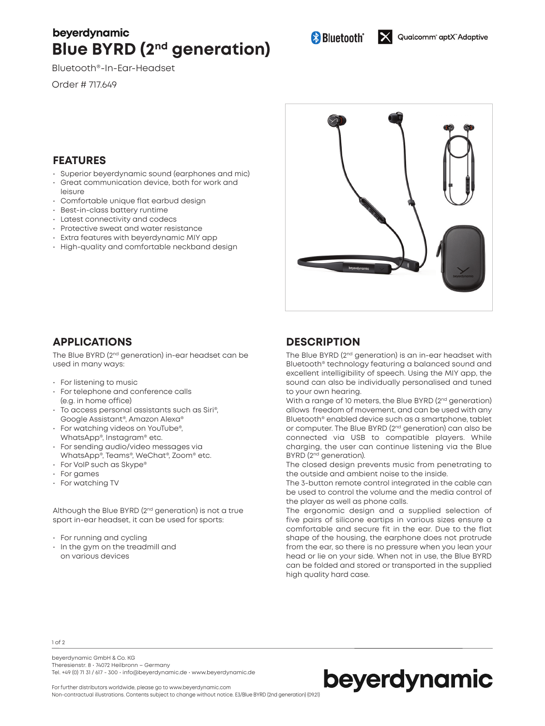# beyerdynamic **Blue BYRD (2nd generation)**

Bluetooth®-In-Ear-Headset

Order # 717.649

## **FEATURES**

- Superior beyerdynamic sound (earphones and mic)
- Great communication device, both for work and leisure
- Comfortable unique flat earbud design
- Best-in-class battery runtime
- Latest connectivity and codecs
- Protective sweat and water resistance
- Extra features with beyerdynamic MIY app
- High-quality and comfortable neckband design



## **APPLICATIONS**

The Blue BYRD (2nd generation) in-ear headset can be used in many ways:

- For listening to music
- For telephone and conference calls (e.g. in home office)
- To access personal assistants such as Siri®, Google Assistant®, Amazon Alexa®
- For watching videos on YouTube®, WhatsApp®, Instagram® etc.
- For sending audio/video messages via WhatsApp®, Teams®, WeChat®, Zoom® etc.
- For VoIP such as Skype®
- For games
- For watching TV

Although the Blue BYRD (2<sup>nd</sup> generation) is not a true sport in-ear headset, it can be used for sports:

- For running and cycling
- In the gym on the treadmill and on various devices

# **DESCRIPTION**

The Blue BYRD (2<sup>nd</sup> generation) is an in-ear headset with Bluetooth® technology featuring a balanced sound and excellent intelligibility of speech. Using the MIY app, the sound can also be individually personalised and tuned to your own hearing.

With a range of 10 meters, the Blue BYRD (2<sup>nd</sup> generation) allows freedom of movement, and can be used with any Bluetooth® enabled device such as a smartphone, tablet or computer. The Blue BYRD (2nd generation) can also be connected via USB to compatible players. While charging, the user can continue listening via the Blue BYRD (2nd generation).

The closed design prevents music from penetrating to the outside and ambient noise to the inside.

The 3-button remote control integrated in the cable can be used to control the volume and the media control of the player as well as phone calls.

The ergonomic design and a supplied selection of five pairs of silicone eartips in various sizes ensure a comfortable and secure fit in the ear. Due to the flat shape of the housing, the earphone does not protrude from the ear, so there is no pressure when you lean your head or lie on your side. When not in use, the Blue BYRD can be folded and stored or transported in the supplied high quality hard case.

1 of 2

beyerdynamic GmbH & Co. KG Theresienstr. 8 • 74072 Heilbronn – Germany Tel. +49 (0) 71 31 / 617 - 300 • info@beyerdynamic.de • www.beyerdynamic.de



For further distributors worldwide, please go to www.beyerdynamic.com Non-contractual illustrations. Contents subject to change without notice. E3/Blue BYRD (2nd generation) (09.21)